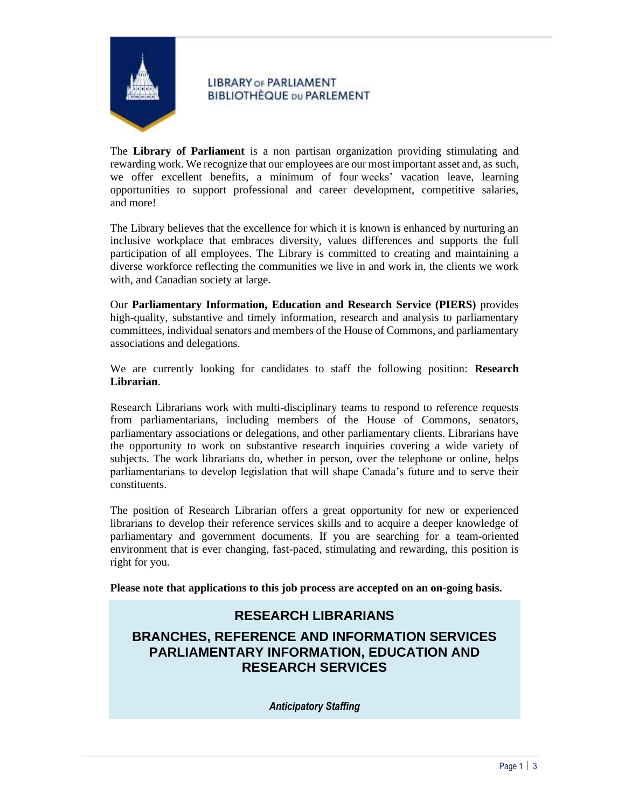

## **LIBRARY OF PARLIAMENT BIBLIOTHÈQUE DU PARLEMENT**

The **Library of Parliament** is a non partisan organization providing stimulating and rewarding work. We recognize that our employees are our most important asset and, as such, we offer excellent benefits, a minimum of four weeks' vacation leave, learning opportunities to support professional and career development, competitive salaries, and more!

The Library believes that the excellence for which it is known is enhanced by nurturing an inclusive workplace that embraces diversity, values differences and supports the full participation of all employees. The Library is committed to creating and maintaining a diverse workforce reflecting the communities we live in and work in, the clients we work with, and Canadian society at large.

Our **Parliamentary Information, Education and Research Service (PIERS)** provides high-quality, substantive and timely information, research and analysis to parliamentary committees, individual senators and members of the House of Commons, and parliamentary associations and delegations.

We are currently looking for candidates to staff the following position: **Research Librarian**.

Research Librarians work with multi-disciplinary teams to respond to reference requests from parliamentarians, including members of the House of Commons, senators, parliamentary associations or delegations, and other parliamentary clients. Librarians have the opportunity to work on substantive research inquiries covering a wide variety of subjects. The work librarians do, whether in person, over the telephone or online, helps parliamentarians to develop legislation that will shape Canada's future and to serve their constituents.

The position of Research Librarian offers a great opportunity for new or experienced librarians to develop their reference services skills and to acquire a deeper knowledge of parliamentary and government documents. If you are searching for a team-oriented environment that is ever changing, fast-paced, stimulating and rewarding, this position is right for you.

**Please note that applications to this job process are accepted on an on-going basis.**

## **RESEARCH LIBRARIANS**

# **BRANCHES, REFERENCE AND INFORMATION SERVICES PARLIAMENTARY INFORMATION, EDUCATION AND RESEARCH SERVICES**

*Anticipatory Staffing*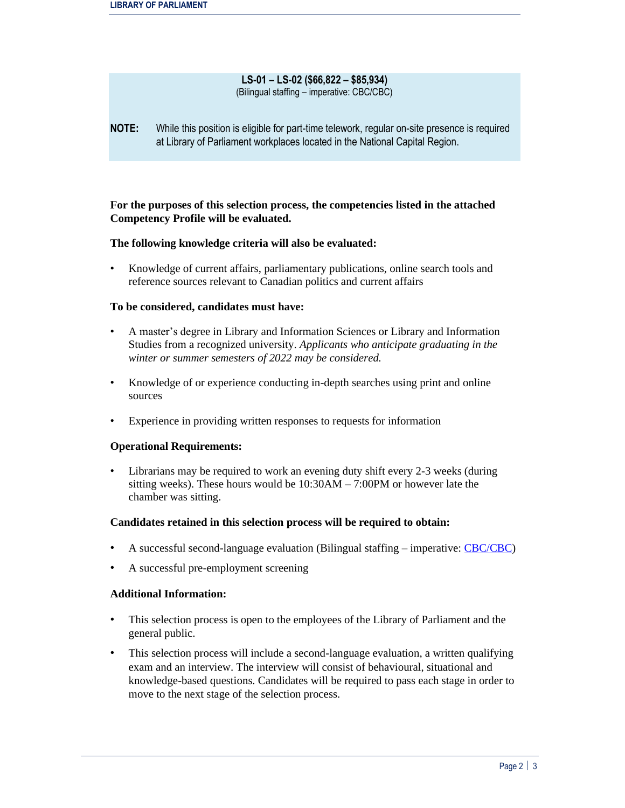#### **LS-01 – LS-02 (\$66,822 – \$85,934)** (Bilingual staffing – imperative: CBC/CBC)

**NOTE:** While this position is eligible for part-time telework, regular on-site presence is required at Library of Parliament workplaces located in the National Capital Region.

## **For the purposes of this selection process, the competencies listed in the attached Competency Profile will be evaluated.**

### **The following knowledge criteria will also be evaluated:**

• Knowledge of current affairs, parliamentary publications, online search tools and reference sources relevant to Canadian politics and current affairs

#### **To be considered, candidates must have:**

- A master's degree in Library and Information Sciences or Library and Information Studies from a recognized university. *Applicants who anticipate graduating in the winter or summer semesters of 2022 may be considered.*
- Knowledge of or experience conducting in-depth searches using print and online sources
- Experience in providing written responses to requests for information

### **Operational Requirements:**

• Librarians may be required to work an evening duty shift every 2-3 weeks (during sitting weeks). These hours would be 10:30AM – 7:00PM or however late the chamber was sitting.

#### **Candidates retained in this selection process will be required to obtain:**

- A successful second-language evaluation (Bilingual staffing imperative[: CBC/CBC\)](https://www.canada.ca/en/treasury-board-secretariat/services/staffing/qualification-standards/relation-official-languages.html)
- A successful pre-employment screening

#### **Additional Information:**

- This selection process is open to the employees of the Library of Parliament and the general public.
- This selection process will include a second-language evaluation, a written qualifying exam and an interview. The interview will consist of behavioural, situational and knowledge-based questions. Candidates will be required to pass each stage in order to move to the next stage of the selection process.